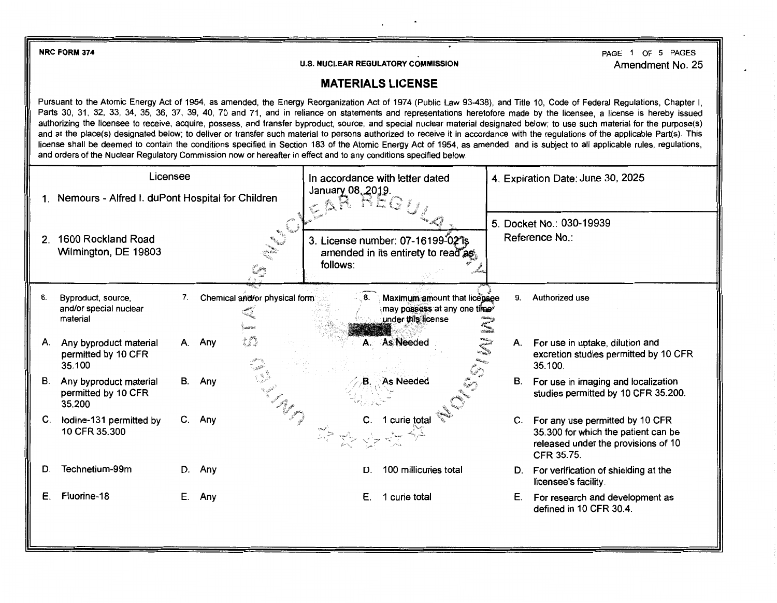**NRC FORM 374** 

**U.S. NUCLEAR REGULATORY COMMISSION** 

PAGE 1 OF 5 PAGES Amendment No. 25

## **MATERIALS LICENSE**

Pursuant to the Atomic Energy Act of 1954, as amended, the Energy Reorganization Act of 1974 (Public Law 93-438), and Title 10, Code of Federal Regulations, Chapter I, Parts 30, 31, 32, 33, 34, 35, 36, 37, 39, 40, 70 and 71, and in reliance on statements and representations heretofore made by the licensee, a license is hereby issued authorizing the licensee to receive, acquire, possess, and transfer byproduct, source, and special nuclear material designated below; to use such material for the purpose(s) and at the place(s) designated below; to deliver or transfer such material to persons authorized to receive it in accordance with the regulations of the applicable Part(s). This license shall be deemed to contain the conditions specified in Section 183 of the Atomic Energy Act of 1954, as amended, and is subject to all applicable rules, regulations, and orders of the Nuclear Regulatory Commission now or hereafter in effect and to any conditions specified below.

| Licensee                                            |                                                          |    |                                                | In accordance with letter dated                                                         | 4. Expiration Date: June 30, 2025 |                                                                                                                                   |
|-----------------------------------------------------|----------------------------------------------------------|----|------------------------------------------------|-----------------------------------------------------------------------------------------|-----------------------------------|-----------------------------------------------------------------------------------------------------------------------------------|
| 1. Nemours - Alfred I. duPont Hospital for Children |                                                          |    |                                                | January 08, 2019.                                                                       |                                   |                                                                                                                                   |
| 2 <sup>1</sup>                                      | 1600 Rockland Road<br>Wilmington, DE 19803               |    | $\bullet_{\widehat{\mathcal{I}}_{q_{\alpha}}}$ | 3. License number: 07-16199-02 is<br>amended in its entirety to read as<br>follows:     |                                   | 5. Docket No.: 030-19939<br>Reference No.:                                                                                        |
| 6.                                                  | Byproduct, source,<br>and/or special nuclear<br>material | 7. | Chemical and/or physical form                  | Maximum amount that licensee<br>8.<br>may possess at any one time<br>under this license |                                   | Authorized use<br>9.                                                                                                              |
| Α.                                                  | Any byproduct material<br>permitted by 10 CFR<br>35.100  | А. | i i<br>Any                                     | A. As Needed                                                                            |                                   | А.<br>For use in uptake, dilution and<br>excretion studies permitted by 10 CFR<br>35.100.                                         |
| В.                                                  | Any byproduct material<br>permitted by 10 CFR<br>35.200  |    | B. Any                                         | As Needed<br>B.                                                                         |                                   | For use in imaging and localization<br>В.<br>studies permitted by 10 CFR 35.200.                                                  |
| C.                                                  | lodine-131 permitted by<br>10 CFR 35.300                 |    | C. Any                                         | 1 curie total                                                                           |                                   | For any use permitted by 10 CFR<br>C.<br>35.300 for which the patient can be<br>released under the provisions of 10<br>CFR 35.75. |
| D.                                                  | Technetium-99m                                           | D. | Any                                            | 100 millicuries total<br>D.                                                             |                                   | For verification of shielding at the<br>licensee's facility.                                                                      |
| Е                                                   | Fluorine-18                                              | Е. | Any                                            | 1 curie total<br>Е.                                                                     |                                   | Е.<br>For research and development as<br>defined in 10 CFR 30.4.                                                                  |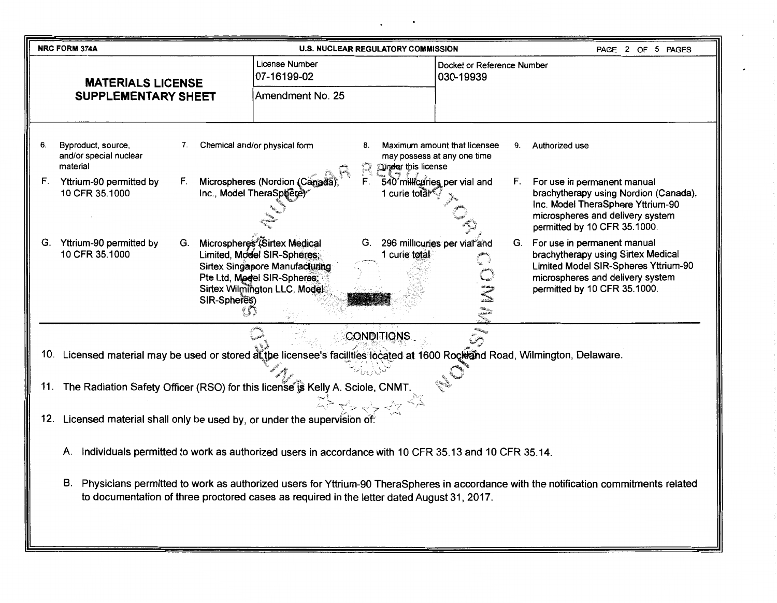|                                                                                                                                                    | <b>NRC FORM 374A</b>                                                                                                                                                                                                                     | <b>U.S. NUCLEAR REGULATORY COMMISSION</b>                                                                                                                                                  |                                                                                     | PAGE 2 OF 5 PAGES                                                                                                                                                                |  |
|----------------------------------------------------------------------------------------------------------------------------------------------------|------------------------------------------------------------------------------------------------------------------------------------------------------------------------------------------------------------------------------------------|--------------------------------------------------------------------------------------------------------------------------------------------------------------------------------------------|-------------------------------------------------------------------------------------|----------------------------------------------------------------------------------------------------------------------------------------------------------------------------------|--|
| <b>MATERIALS LICENSE</b><br><b>SUPPLEMENTARY SHEET</b>                                                                                             |                                                                                                                                                                                                                                          | <b>License Number</b><br>07-16199-02<br>Amendment No. 25                                                                                                                                   | Docket or Reference Number<br>030-19939                                             |                                                                                                                                                                                  |  |
|                                                                                                                                                    |                                                                                                                                                                                                                                          |                                                                                                                                                                                            |                                                                                     |                                                                                                                                                                                  |  |
| 6.                                                                                                                                                 | Byproduct, source,<br>7.<br>and/or special nuclear<br>material                                                                                                                                                                           | Chemical and/or physical form<br>8.<br><b>Under this license</b><br>R                                                                                                                      | Maximum amount that licensee<br>Authorized use<br>9.<br>may possess at any one time |                                                                                                                                                                                  |  |
| F.                                                                                                                                                 | F.<br>Yttrium-90 permitted by<br>Inc., Model TheraSphere)<br>10 CFR 35.1000                                                                                                                                                              | Ê.<br>Microspheres (Nordion (Canada<br>1 curie total                                                                                                                                       | 540 millicuries per vial and<br>F.                                                  | For use in permanent manual<br>brachytherapy using Nordion (Canada),<br>Inc. Model TheraSphere Yttrium-90<br>microspheres and delivery system<br>permitted by 10 CFR 35.1000.    |  |
|                                                                                                                                                    | G. Yttrium-90 permitted by<br>G.<br>10 CFR 35.1000<br>SIR-Spheres)                                                                                                                                                                       | Microspheres (Sirtex Medical<br>G.<br>Limited, Model SIR-Spheres:<br>1 curie total<br><b>Sirtex Singapore Manufacturing</b><br>Pte Ltd, Model SIR-Spheres;<br>Sirtex Wilmington LLC, Model | 296 millicuries per vial and                                                        | G. For use in permanent manual<br>brachytherapy using Sirtex Medical<br>Limited Model SIR-Spheres Yttrium-90<br>microspheres and delivery system<br>permitted by 10 CFR 35.1000. |  |
| <b>CONDITIONS</b><br>10. Licensed material may be used or stored at the licensee's facilities located at 1600 Rockland Road, Wilmington, Delaware. |                                                                                                                                                                                                                                          |                                                                                                                                                                                            |                                                                                     |                                                                                                                                                                                  |  |
|                                                                                                                                                    | 11. The Radiation Safety Officer (RSO) for this license is Kelly A. Sciole, CNMT.                                                                                                                                                        |                                                                                                                                                                                            |                                                                                     |                                                                                                                                                                                  |  |
|                                                                                                                                                    | Licensed material shall only be used by, or under the supervision of:<br>12.                                                                                                                                                             |                                                                                                                                                                                            |                                                                                     |                                                                                                                                                                                  |  |
|                                                                                                                                                    | Individuals permitted to work as authorized users in accordance with 10 CFR 35.13 and 10 CFR 35.14.<br>Α.                                                                                                                                |                                                                                                                                                                                            |                                                                                     |                                                                                                                                                                                  |  |
|                                                                                                                                                    | В.<br>Physicians permitted to work as authorized users for Yttrium-90 TheraSpheres in accordance with the notification commitments related<br>to documentation of three proctored cases as required in the letter dated August 31, 2017. |                                                                                                                                                                                            |                                                                                     |                                                                                                                                                                                  |  |

 $\bullet$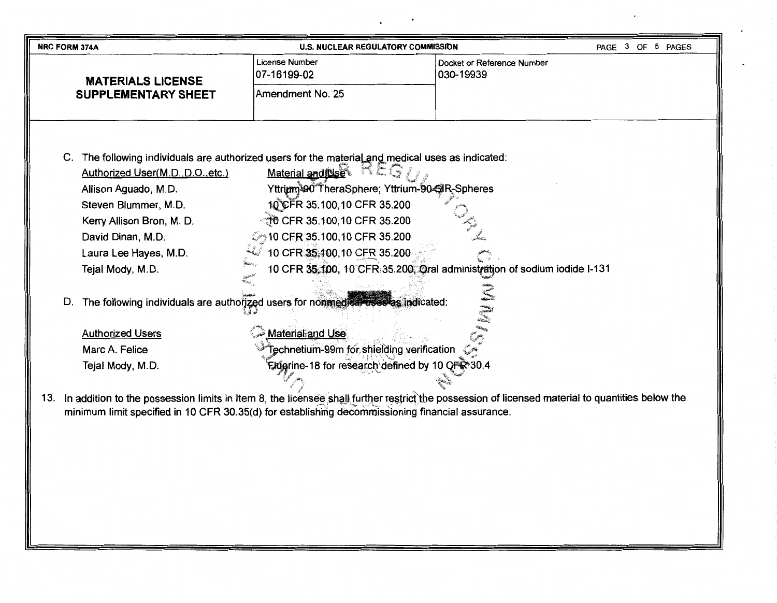| <b>NRC FORM 374A</b>                                                                                                                                | <b>U.S. NUCLEAR REGULATORY COMMISSION</b>                                |                                         | PAGE 3 OF 5 PAGES |  |
|-----------------------------------------------------------------------------------------------------------------------------------------------------|--------------------------------------------------------------------------|-----------------------------------------|-------------------|--|
| <b>MATERIALS LICENSE</b>                                                                                                                            | License Number<br>07-16199-02                                            | Docket or Reference Number<br>030-19939 |                   |  |
| <b>SUPPLEMENTARY SHEET</b>                                                                                                                          | Amendment No. 25                                                         |                                         |                   |  |
|                                                                                                                                                     |                                                                          |                                         |                   |  |
|                                                                                                                                                     |                                                                          |                                         |                   |  |
|                                                                                                                                                     |                                                                          |                                         |                   |  |
| C. The following individuals are authorized users for the material and medical uses as indicated:                                                   |                                                                          |                                         |                   |  |
| Authorized User(M.D., D.O., etc.)                                                                                                                   | Material and Use                                                         |                                         |                   |  |
| Allison Aguado, M.D.                                                                                                                                | Yttrium <sup>390 T</sup> heraSphere; Yttrium-90 SIR-Spheres              |                                         |                   |  |
| Steven Blummer, M.D.                                                                                                                                | 10 CFR 35.100,10 CFR 35.200                                              |                                         |                   |  |
| Kerry Allison Bron, M. D.                                                                                                                           | ্রীত CFR 35.100,10 CFR 35.200                                            |                                         |                   |  |
| David Dinan, M.D.                                                                                                                                   | ි 10 CFR 35.100,10 CFR 35.200                                            |                                         |                   |  |
| Laura Lee Hayes, M.D.                                                                                                                               | 10 CFR 35:100,10 CFR 35.200                                              |                                         |                   |  |
| Tejal Mody, M.D.                                                                                                                                    | 10 CFR 35,100, 10 CFR 35.200, Oral administration of sodium iodide I-131 |                                         |                   |  |
| The following individuals are authorized users for nonmedication<br>D.<br>stas indicated:                                                           |                                                                          |                                         |                   |  |
| <b>Authorized Users</b>                                                                                                                             | <b>Material and Use</b>                                                  |                                         |                   |  |
| Marc A. Felice                                                                                                                                      | Technetium-99m for shielding verification                                |                                         |                   |  |
| Tejal Mody, M.D.                                                                                                                                    | Flugrine-18 for research defined by 10 CFR*30.4                          |                                         |                   |  |
|                                                                                                                                                     |                                                                          |                                         |                   |  |
| 13. In addition to the possession limits in Item 8, the licensee shall further restrict the possession of licensed material to quantities below the |                                                                          |                                         |                   |  |
| minimum limit specified in 10 CFR 30.35(d) for establishing decommissioning financial assurance.                                                    |                                                                          |                                         |                   |  |
|                                                                                                                                                     |                                                                          |                                         |                   |  |
|                                                                                                                                                     |                                                                          |                                         |                   |  |
|                                                                                                                                                     |                                                                          |                                         |                   |  |
|                                                                                                                                                     |                                                                          |                                         |                   |  |
|                                                                                                                                                     |                                                                          |                                         |                   |  |
|                                                                                                                                                     |                                                                          |                                         |                   |  |
|                                                                                                                                                     |                                                                          |                                         |                   |  |
|                                                                                                                                                     |                                                                          |                                         |                   |  |

 $\blacksquare$ 

 $\ddot{\phantom{0}}$ 

 $\overline{\phantom{a}}$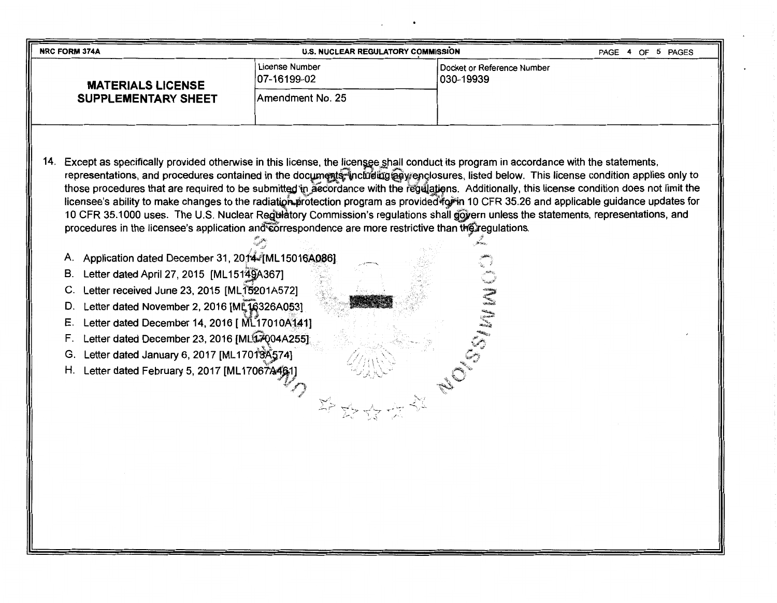| <b>NRC FORM 374A</b>                                                                                                                                                                                                                                                                                                                                                                                                                                                                                                                                                                                                                                                                                                                                                                                                                                                                                                                                                                                                                                                                                                                                                                                                                                              | <b>U.S. NUCLEAR REGULATORY COMMISSION</b> |                                         | 4 OF 5 PAGES<br>PAGE |
|-------------------------------------------------------------------------------------------------------------------------------------------------------------------------------------------------------------------------------------------------------------------------------------------------------------------------------------------------------------------------------------------------------------------------------------------------------------------------------------------------------------------------------------------------------------------------------------------------------------------------------------------------------------------------------------------------------------------------------------------------------------------------------------------------------------------------------------------------------------------------------------------------------------------------------------------------------------------------------------------------------------------------------------------------------------------------------------------------------------------------------------------------------------------------------------------------------------------------------------------------------------------|-------------------------------------------|-----------------------------------------|----------------------|
| <b>MATERIALS LICENSE</b>                                                                                                                                                                                                                                                                                                                                                                                                                                                                                                                                                                                                                                                                                                                                                                                                                                                                                                                                                                                                                                                                                                                                                                                                                                          | License Number<br>07-16199-02             | Docket or Reference Number<br>030-19939 |                      |
| <b>SUPPLEMENTARY SHEET</b>                                                                                                                                                                                                                                                                                                                                                                                                                                                                                                                                                                                                                                                                                                                                                                                                                                                                                                                                                                                                                                                                                                                                                                                                                                        | Amendment No. 25                          |                                         |                      |
| Except as specifically provided otherwise in this license, the licensee shall conduct its program in accordance with the statements,<br>14.<br>representations, and procedures contained in the documents, including any enclosures, listed below. This license condition applies only to<br>those procedures that are required to be submitted in accordance with the regulations. Additionally, this license condition does not limit the<br>licensee's ability to make changes to the radiation program as provided to in 10 CFR 35.26 and applicable guidance updates for<br>10 CFR 35.1000 uses. The U.S. Nuclear Registatory Commission's regulations shall govern unless the statements, representations, and<br>procedures in the licensee's application and correspondence are more restrictive than the regulations.<br>A. Application dated December 31, 2014 [ML15016A086]<br>Letter dated April 27, 2015 [ML15149A367]<br>В.<br>Letter received June 23, 2015 [ML15201A572]<br>Letter dated November 2, 2016 [ML16326A053]<br>D.<br>Letter dated December 14, 2016 [ ML17010A141]<br>Ε.<br>Letter dated December 23, 2016 [ML17004A255]<br>F.<br>Letter dated January 6, 2017 [ML17018A574]<br>G.<br>Letter dated February 5, 2017 [ML17067446<br>Η. |                                           |                                         |                      |